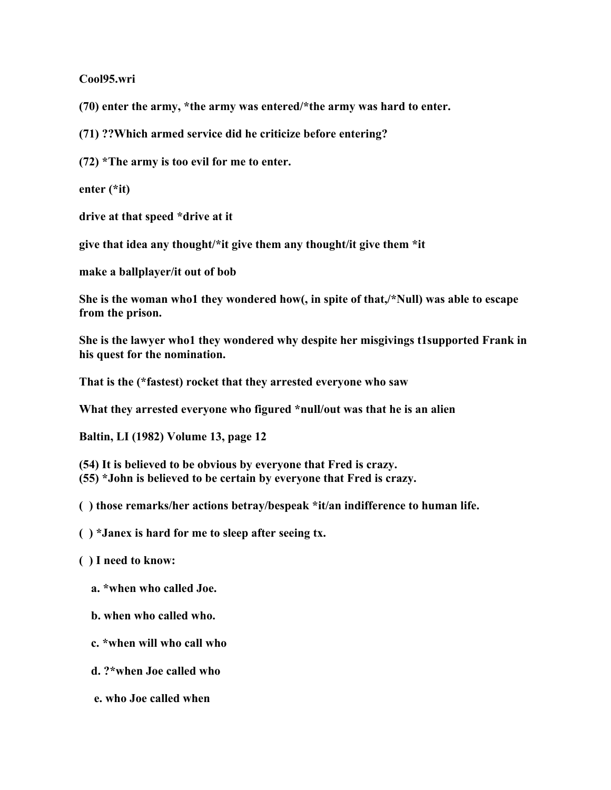**Cool95.wri**

**(70) enter the army, \*the army was entered/\*the army was hard to enter.**

**(71) ??Which armed service did he criticize before entering?**

**(72) \*The army is too evil for me to enter.**

**enter (\*it)**

**drive at that speed \*drive at it**

**give that idea any thought/\*it give them any thought/it give them \*it**

**make a ballplayer/it out of bob**

**She is the woman who1 they wondered how(, in spite of that,/\*Null) was able to escape from the prison.**

**She is the lawyer who1 they wondered why despite her misgivings t1supported Frank in his quest for the nomination.**

**That is the (\*fastest) rocket that they arrested everyone who saw**

**What they arrested everyone who figured \*null/out was that he is an alien**

**Baltin, LI (1982) Volume 13, page 12**

**(54) It is believed to be obvious by everyone that Fred is crazy.**

**(55) \*John is believed to be certain by everyone that Fred is crazy.**

**( ) those remarks/her actions betray/bespeak \*it/an indifference to human life.**

- **( ) \*Janex is hard for me to sleep after seeing tx.**
- **( ) I need to know:**
	- **a. \*when who called Joe.**
	- **b. when who called who.**
	- **c. \*when will who call who**
	- **d. ?\*when Joe called who**
	- **e. who Joe called when**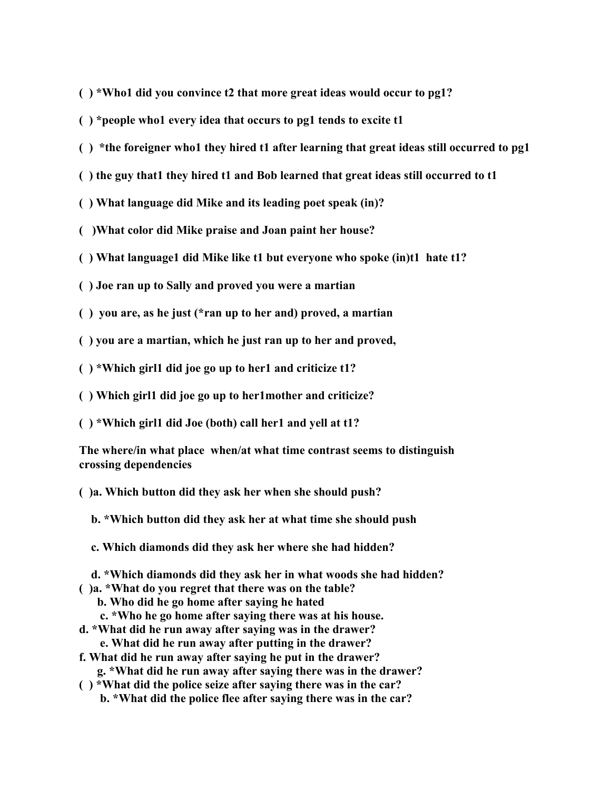- **( ) \*Who1 did you convince t2 that more great ideas would occur to pg1?**
- **( ) \*people who1 every idea that occurs to pg1 tends to excite t1**
- **( ) \*the foreigner who1 they hired t1 after learning that great ideas still occurred to pg1**
- **( ) the guy that1 they hired t1 and Bob learned that great ideas still occurred to t1**
- **( ) What language did Mike and its leading poet speak (in)?**
- **( )What color did Mike praise and Joan paint her house?**
- **( ) What language1 did Mike like t1 but everyone who spoke (in)t1 hate t1?**
- **( ) Joe ran up to Sally and proved you were a martian**
- **( ) you are, as he just (\*ran up to her and) proved, a martian**
- **( ) you are a martian, which he just ran up to her and proved,**
- **( ) \*Which girl1 did joe go up to her1 and criticize t1?**
- **( ) Which girl1 did joe go up to her1mother and criticize?**
- **( ) \*Which girl1 did Joe (both) call her1 and yell at t1?**
- **The where/in what place when/at what time contrast seems to distinguish crossing dependencies**
- **( )a. Which button did they ask her when she should push?**
	- **b. \*Which button did they ask her at what time she should push**
	- **c. Which diamonds did they ask her where she had hidden?**
- **d. \*Which diamonds did they ask her in what woods she had hidden?**
- **( )a. \*What do you regret that there was on the table?**
	- **b. Who did he go home after saying he hated**
	- **c. \*Who he go home after saying there was at his house.**
- **d. \*What did he run away after saying was in the drawer?**
	- **e. What did he run away after putting in the drawer?**
- **f. What did he run away after saying he put in the drawer? g. \*What did he run away after saying there was in the drawer?**
- **( ) \*What did the police seize after saying there was in the car? b. \*What did the police flee after saying there was in the car?**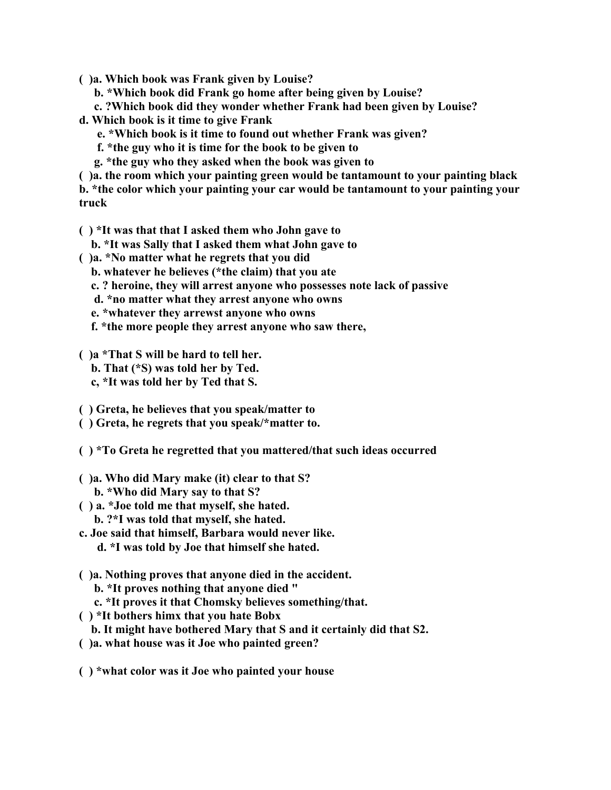- **( )a. Which book was Frank given by Louise?**
	- **b. \*Which book did Frank go home after being given by Louise?**
	- **c. ?Which book did they wonder whether Frank had been given by Louise?**
- **d. Which book is it time to give Frank**
	- **e. \*Which book is it time to found out whether Frank was given?**
	- **f. \*the guy who it is time for the book to be given to**
	- **g. \*the guy who they asked when the book was given to**
- **( )a. the room which your painting green would be tantamount to your painting black b. \*the color which your painting your car would be tantamount to your painting your truck**
- **( ) \*It was that that I asked them who John gave to**
	- **b. \*It was Sally that I asked them what John gave to**
- **( )a. \*No matter what he regrets that you did**
	- **b. whatever he believes (\*the claim) that you ate**
	- **c. ? heroine, they will arrest anyone who possesses note lack of passive**
	- **d. \*no matter what they arrest anyone who owns**
	- **e. \*whatever they arrewst anyone who owns**
	- **f. \*the more people they arrest anyone who saw there,**
- **( )a \*That S will be hard to tell her.**
	- **b. That (\*S) was told her by Ted.**
	- **c, \*It was told her by Ted that S.**
- **( ) Greta, he believes that you speak/matter to**
- **( ) Greta, he regrets that you speak/\*matter to.**
- **( ) \*To Greta he regretted that you mattered/that such ideas occurred**
- **( )a. Who did Mary make (it) clear to that S? b. \*Who did Mary say to that S?**
- **( ) a. \*Joe told me that myself, she hated. b. ?\*I was told that myself, she hated.**
- **c. Joe said that himself, Barbara would never like. d. \*I was told by Joe that himself she hated.**
- **( )a. Nothing proves that anyone died in the accident.**
	- **b. \*It proves nothing that anyone died "**
	- **c. \*It proves it that Chomsky believes something/that.**
- **( ) \*It bothers himx that you hate Bobx**
	- **b. It might have bothered Mary that S and it certainly did that S2.**
- **( )a. what house was it Joe who painted green?**
- **( ) \*what color was it Joe who painted your house**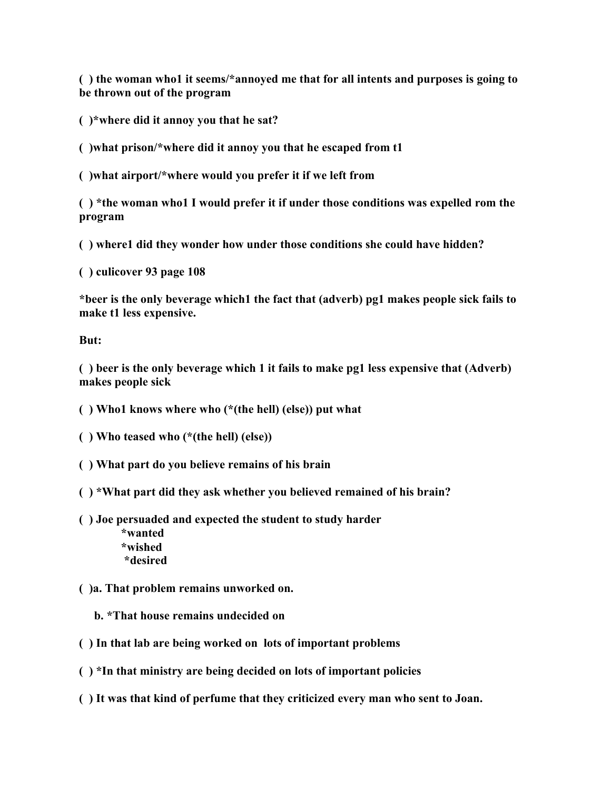**( ) the woman who1 it seems/\*annoyed me that for all intents and purposes is going to be thrown out of the program**

**( )\*where did it annoy you that he sat?**

**( )what prison/\*where did it annoy you that he escaped from t1**

**( )what airport/\*where would you prefer it if we left from**

**( ) \*the woman who1 I would prefer it if under those conditions was expelled rom the program**

**( ) where1 did they wonder how under those conditions she could have hidden?**

**( ) culicover 93 page 108**

**\*beer is the only beverage which1 the fact that (adverb) pg1 makes people sick fails to make t1 less expensive.**

**But:**

**( ) beer is the only beverage which 1 it fails to make pg1 less expensive that (Adverb) makes people sick**

**( ) Who1 knows where who (\*(the hell) (else)) put what**

**( ) Who teased who (\*(the hell) (else))**

**( ) What part do you believe remains of his brain**

**( ) \*What part did they ask whether you believed remained of his brain?**

**( ) Joe persuaded and expected the student to study harder**

 **\*wanted \*wished \*desired**

**( )a. That problem remains unworked on.**

 **b. \*That house remains undecided on**

**( ) In that lab are being worked on lots of important problems**

**( ) \*In that ministry are being decided on lots of important policies**

**( ) It was that kind of perfume that they criticized every man who sent to Joan.**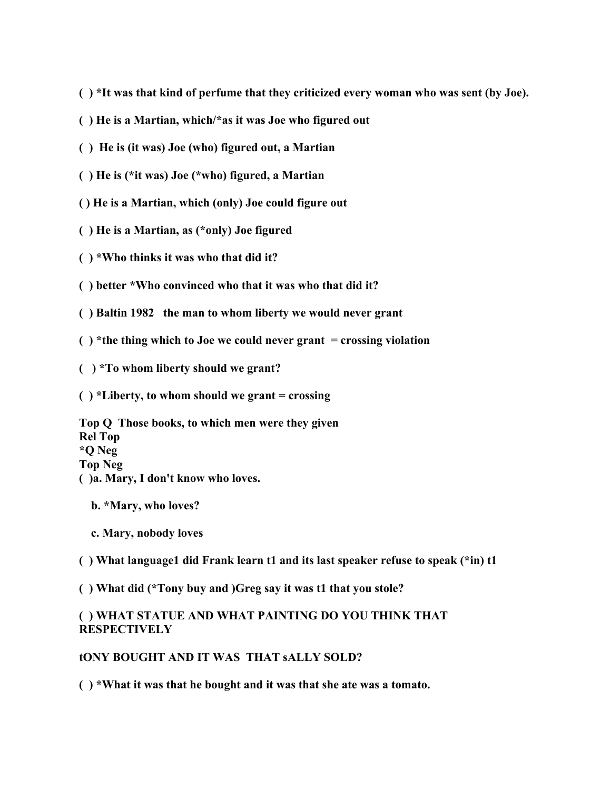- **( ) \*It was that kind of perfume that they criticized every woman who was sent (by Joe).**
- **( ) He is a Martian, which/\*as it was Joe who figured out**
- **( ) He is (it was) Joe (who) figured out, a Martian**
- **( ) He is (\*it was) Joe (\*who) figured, a Martian**
- **( ) He is a Martian, which (only) Joe could figure out**
- **( ) He is a Martian, as (\*only) Joe figured**
- **( ) \*Who thinks it was who that did it?**
- **( ) better \*Who convinced who that it was who that did it?**
- **( ) Baltin 1982 the man to whom liberty we would never grant**
- **( ) \*the thing which to Joe we could never grant = crossing violation**
- **( ) \*To whom liberty should we grant?**
- **( ) \*Liberty, to whom should we grant = crossing**

**Top Q Those books, to which men were they given Rel Top \*Q Neg Top Neg ( )a. Mary, I don't know who loves.**

- **b. \*Mary, who loves?**
- **c. Mary, nobody loves**
- **( ) What language1 did Frank learn t1 and its last speaker refuse to speak (\*in) t1**
- **( ) What did (\*Tony buy and )Greg say it was t1 that you stole?**

## **( ) WHAT STATUE AND WHAT PAINTING DO YOU THINK THAT RESPECTIVELY**

### **tONY BOUGHT AND IT WAS THAT sALLY SOLD?**

**( ) \*What it was that he bought and it was that she ate was a tomato.**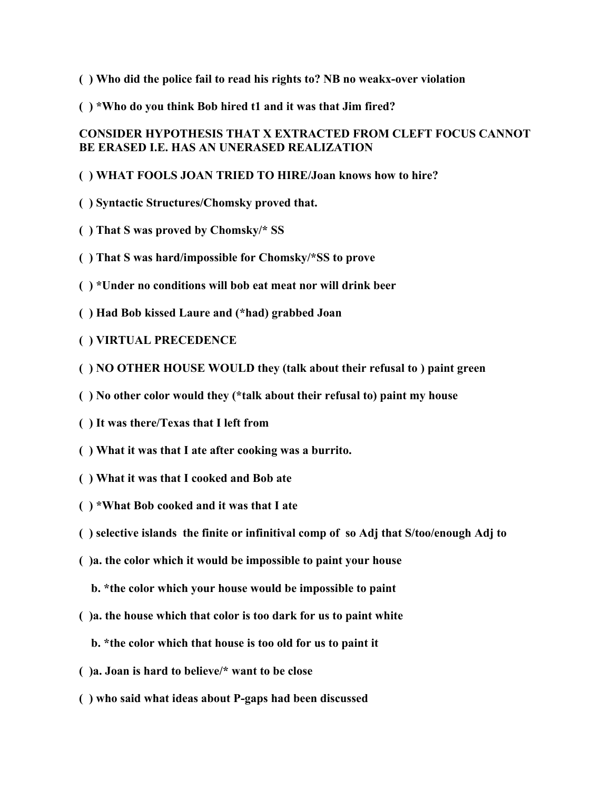- **( ) Who did the police fail to read his rights to? NB no weakx-over violation**
- **( ) \*Who do you think Bob hired t1 and it was that Jim fired?**

# **CONSIDER HYPOTHESIS THAT X EXTRACTED FROM CLEFT FOCUS CANNOT BE ERASED I.E. HAS AN UNERASED REALIZATION**

- **( ) WHAT FOOLS JOAN TRIED TO HIRE/Joan knows how to hire?**
- **( ) Syntactic Structures/Chomsky proved that.**
- **( ) That S was proved by Chomsky/\* SS**
- **( ) That S was hard/impossible for Chomsky/\*SS to prove**
- **( ) \*Under no conditions will bob eat meat nor will drink beer**
- **( ) Had Bob kissed Laure and (\*had) grabbed Joan**
- **( ) VIRTUAL PRECEDENCE**
- **( ) NO OTHER HOUSE WOULD they (talk about their refusal to ) paint green**
- **( ) No other color would they (\*talk about their refusal to) paint my house**
- **( ) It was there/Texas that I left from**
- **( ) What it was that I ate after cooking was a burrito.**
- **( ) What it was that I cooked and Bob ate**
- **( ) \*What Bob cooked and it was that I ate**
- **( ) selective islands the finite or infinitival comp of so Adj that S/too/enough Adj to**
- **( )a. the color which it would be impossible to paint your house**
	- **b. \*the color which your house would be impossible to paint**
- **( )a. the house which that color is too dark for us to paint white**
	- **b. \*the color which that house is too old for us to paint it**
- **( )a. Joan is hard to believe/\* want to be close**
- **( ) who said what ideas about P-gaps had been discussed**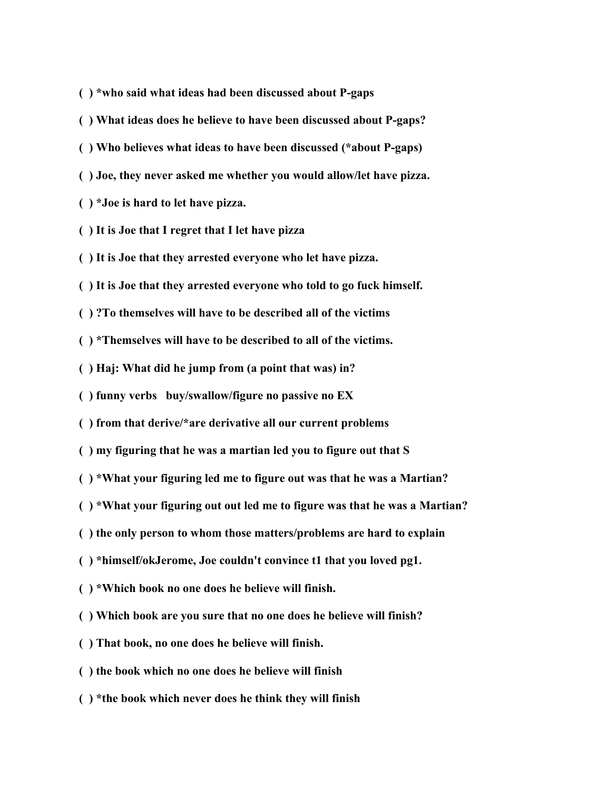- **( ) \*who said what ideas had been discussed about P-gaps**
- **( ) What ideas does he believe to have been discussed about P-gaps?**
- **( ) Who believes what ideas to have been discussed (\*about P-gaps)**
- **( ) Joe, they never asked me whether you would allow/let have pizza.**
- **( ) \*Joe is hard to let have pizza.**
- **( ) It is Joe that I regret that I let have pizza**
- **( ) It is Joe that they arrested everyone who let have pizza.**
- **( ) It is Joe that they arrested everyone who told to go fuck himself.**
- **( ) ?To themselves will have to be described all of the victims**
- **( ) \*Themselves will have to be described to all of the victims.**
- **( ) Haj: What did he jump from (a point that was) in?**
- **( ) funny verbs buy/swallow/figure no passive no EX**
- **( ) from that derive/\*are derivative all our current problems**
- **( ) my figuring that he was a martian led you to figure out that S**
- **( ) \*What your figuring led me to figure out was that he was a Martian?**
- **( ) \*What your figuring out out led me to figure was that he was a Martian?**
- **( ) the only person to whom those matters/problems are hard to explain**
- **( ) \*himself/okJerome, Joe couldn't convince t1 that you loved pg1.**
- **( ) \*Which book no one does he believe will finish.**
- **( ) Which book are you sure that no one does he believe will finish?**
- **( ) That book, no one does he believe will finish.**
- **( ) the book which no one does he believe will finish**
- **( ) \*the book which never does he think they will finish**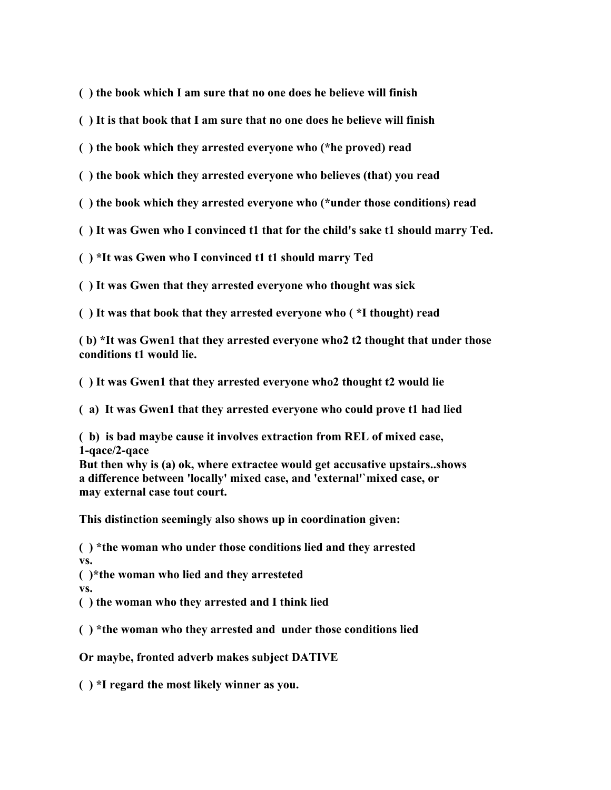**( ) the book which I am sure that no one does he believe will finish**

**( ) It is that book that I am sure that no one does he believe will finish**

**( ) the book which they arrested everyone who (\*he proved) read**

**( ) the book which they arrested everyone who believes (that) you read**

**( ) the book which they arrested everyone who (\*under those conditions) read**

**( ) It was Gwen who I convinced t1 that for the child's sake t1 should marry Ted.**

**( ) \*It was Gwen who I convinced t1 t1 should marry Ted** 

**( ) It was Gwen that they arrested everyone who thought was sick**

**( ) It was that book that they arrested everyone who ( \*I thought) read**

**( b) \*It was Gwen1 that they arrested everyone who2 t2 thought that under those conditions t1 would lie.**

**( ) It was Gwen1 that they arrested everyone who2 thought t2 would lie**

**( a) It was Gwen1 that they arrested everyone who could prove t1 had lied**

**( b) is bad maybe cause it involves extraction from REL of mixed case, 1-qace/2-qace**

**But then why is (a) ok, where extractee would get accusative upstairs..shows a difference between 'locally' mixed case, and 'external'`mixed case, or may external case tout court.**

**This distinction seemingly also shows up in coordination given:**

**( ) \*the woman who under those conditions lied and they arrested vs.**

**( )\*the woman who lied and they arresteted vs.**

**( ) the woman who they arrested and I think lied** 

**( ) \*the woman who they arrested and under those conditions lied**

**Or maybe, fronted adverb makes subject DATIVE**

**( ) \*I regard the most likely winner as you.**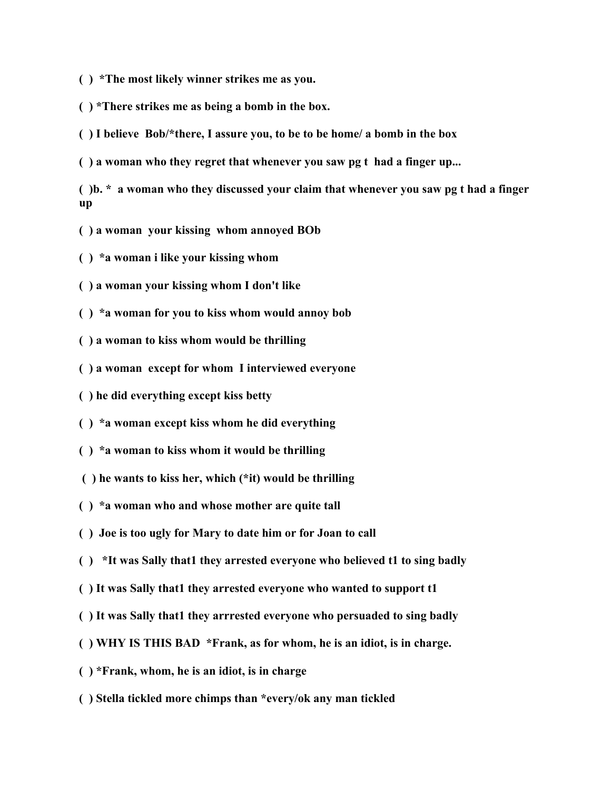**( ) \*The most likely winner strikes me as you.**

**( ) \*There strikes me as being a bomb in the box.**

**( ) I believe Bob/\*there, I assure you, to be to be home/ a bomb in the box**

**( ) a woman who they regret that whenever you saw pg t had a finger up...**

**( )b. \* a woman who they discussed your claim that whenever you saw pg t had a finger up**

- **( ) a woman your kissing whom annoyed BOb**
- **( ) \*a woman i like your kissing whom**
- **( ) a woman your kissing whom I don't like**
- **( ) \*a woman for you to kiss whom would annoy bob**
- **( ) a woman to kiss whom would be thrilling**
- **( ) a woman except for whom I interviewed everyone**
- **( ) he did everything except kiss betty**
- **( ) \*a woman except kiss whom he did everything**
- **( ) \*a woman to kiss whom it would be thrilling**
- **( ) he wants to kiss her, which (\*it) would be thrilling**
- **( ) \*a woman who and whose mother are quite tall**
- **( ) Joe is too ugly for Mary to date him or for Joan to call**
- **( ) \*It was Sally that1 they arrested everyone who believed t1 to sing badly**
- **( ) It was Sally that1 they arrested everyone who wanted to support t1**
- **( ) It was Sally that1 they arrrested everyone who persuaded to sing badly**
- **( ) WHY IS THIS BAD \*Frank, as for whom, he is an idiot, is in charge.**
- **( ) \*Frank, whom, he is an idiot, is in charge**
- **( ) Stella tickled more chimps than \*every/ok any man tickled**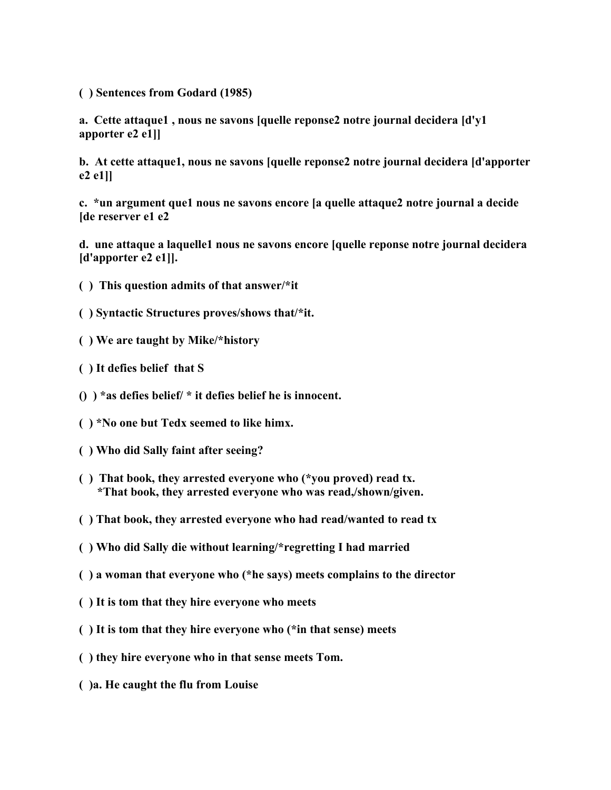**( ) Sentences from Godard (1985)**

**a. Cette attaque1 , nous ne savons [quelle reponse2 notre journal decidera [d'y1 apporter e2 e1]]**

**b. At cette attaque1, nous ne savons [quelle reponse2 notre journal decidera [d'apporter e2 e1]]**

**c. \*un argument que1 nous ne savons encore [a quelle attaque2 notre journal a decide [de reserver e1 e2**

**d. une attaque a laquelle1 nous ne savons encore [quelle reponse notre journal decidera [d'apporter e2 e1]].**

- **( ) This question admits of that answer/\*it**
- **( ) Syntactic Structures proves/shows that/\*it.**
- **( ) We are taught by Mike/\*history**
- **( ) It defies belief that S**
- **() ) \*as defies belief/ \* it defies belief he is innocent.**
- **( ) \*No one but Tedx seemed to like himx.**
- **( ) Who did Sally faint after seeing?**
- **( ) That book, they arrested everyone who (\*you proved) read tx. \*That book, they arrested everyone who was read,/shown/given.**
- **( ) That book, they arrested everyone who had read/wanted to read tx**
- **( ) Who did Sally die without learning/\*regretting I had married**
- **( ) a woman that everyone who (\*he says) meets complains to the director**
- **( ) It is tom that they hire everyone who meets**
- **( ) It is tom that they hire everyone who (\*in that sense) meets**
- **( ) they hire everyone who in that sense meets Tom.**
- **( )a. He caught the flu from Louise**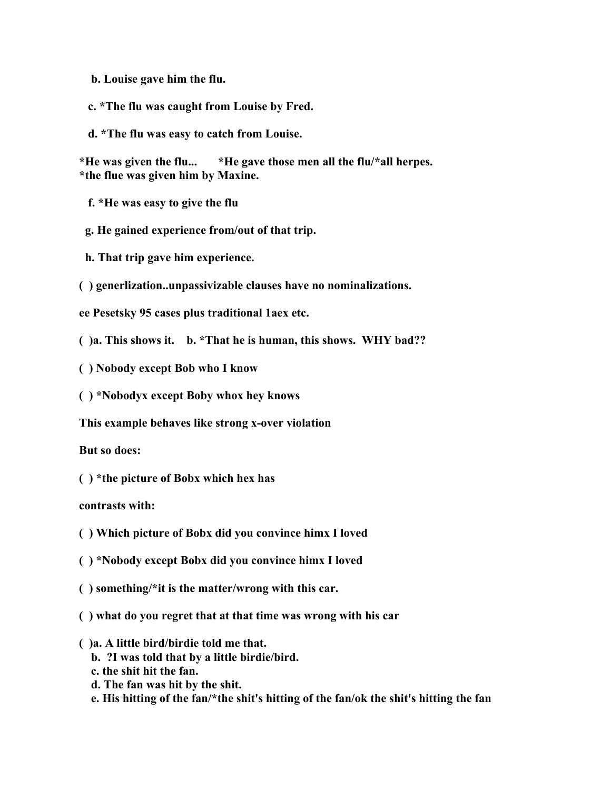**b. Louise gave him the flu.**

 **c. \*The flu was caught from Louise by Fred.**

 **d. \*The flu was easy to catch from Louise.**

**\*He was given the flu... \*He gave those men all the flu/\*all herpes. \*the flue was given him by Maxine.**

 **f. \*He was easy to give the flu**

 **g. He gained experience from/out of that trip.**

 **h. That trip gave him experience.**

**( ) generlization..unpassivizable clauses have no nominalizations.**

**ee Pesetsky 95 cases plus traditional 1aex etc.**

**( )a. This shows it. b. \*That he is human, this shows. WHY bad??**

**( ) Nobody except Bob who I know**

**( ) \*Nobodyx except Boby whox hey knows**

**This example behaves like strong x-over violation**

**But so does:**

**( ) \*the picture of Bobx which hex has**

**contrasts with:**

- **( ) Which picture of Bobx did you convince himx I loved**
- **( ) \*Nobody except Bobx did you convince himx I loved**
- **( ) something/\*it is the matter/wrong with this car.**
- **( ) what do you regret that at that time was wrong with his car**
- **( )a. A little bird/birdie told me that.**
	- **b. ?I was told that by a little birdie/bird.**
	- **c. the shit hit the fan.**
	- **d. The fan was hit by the shit.**
	- **e. His hitting of the fan/\*the shit's hitting of the fan/ok the shit's hitting the fan**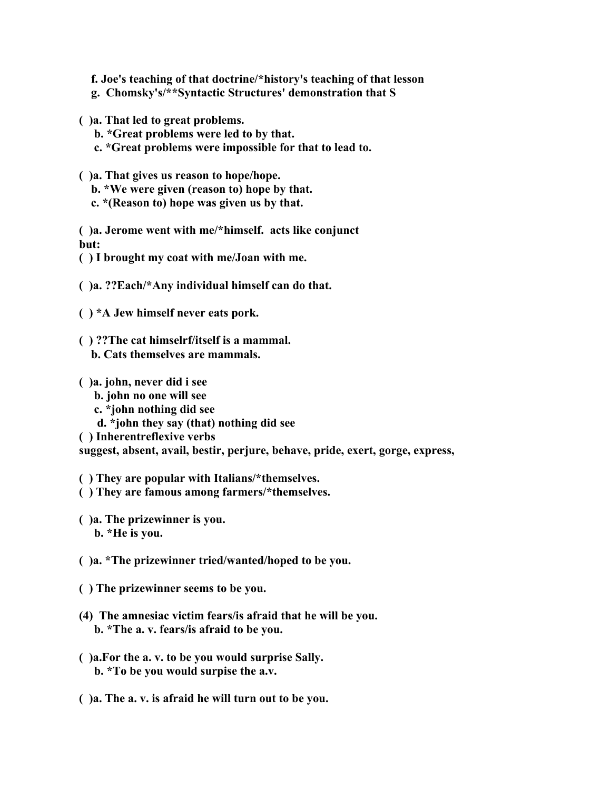**f. Joe's teaching of that doctrine/\*history's teaching of that lesson**

- **g. Chomsky's/\*\*Syntactic Structures' demonstration that S**
- **( )a. That led to great problems.**
	- **b. \*Great problems were led to by that.**
	- **c. \*Great problems were impossible for that to lead to.**
- **( )a. That gives us reason to hope/hope.**
	- **b. \*We were given (reason to) hope by that.**
	- **c. \*(Reason to) hope was given us by that.**

**( )a. Jerome went with me/\*himself. acts like conjunct but:**

- **( ) I brought my coat with me/Joan with me.**
- **( )a. ??Each/\*Any individual himself can do that.**
- **( ) \*A Jew himself never eats pork.**
- **( ) ??The cat himselrf/itself is a mammal.**
	- **b. Cats themselves are mammals.**
- **( )a. john, never did i see**
	- **b. john no one will see**
	- **c. \*john nothing did see**
	- **d. \*john they say (that) nothing did see**
- **( ) Inherentreflexive verbs**

**suggest, absent, avail, bestir, perjure, behave, pride, exert, gorge, express,** 

- **( ) They are popular with Italians/\*themselves.**
- **( ) They are famous among farmers/\*themselves.**
- **( )a. The prizewinner is you. b. \*He is you.**
- **( )a. \*The prizewinner tried/wanted/hoped to be you.**
- **( ) The prizewinner seems to be you.**
- **(4) The amnesiac victim fears/is afraid that he will be you. b. \*The a. v. fears/is afraid to be you.**
- **( )a.For the a. v. to be you would surprise Sally. b. \*To be you would surpise the a.v.**
- **( )a. The a. v. is afraid he will turn out to be you.**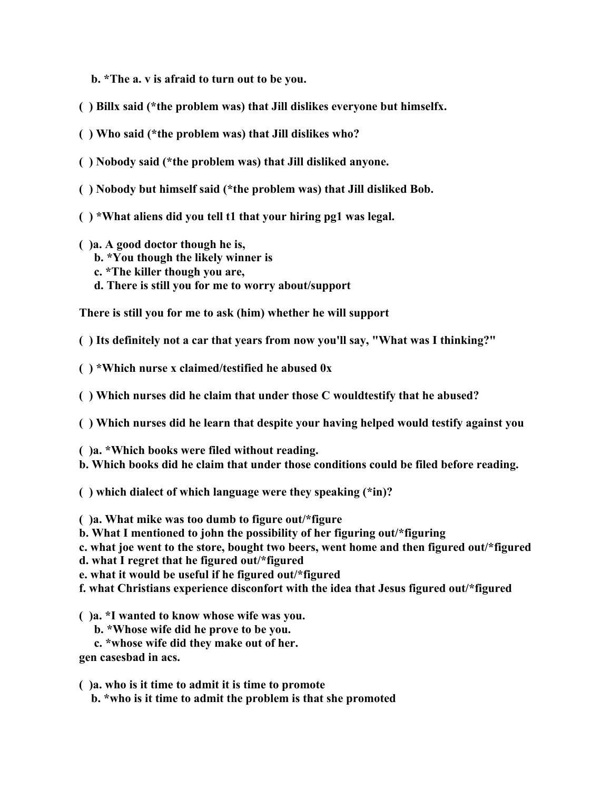**b. \*The a. v is afraid to turn out to be you.**

- **( ) Billx said (\*the problem was) that Jill dislikes everyone but himselfx.**
- **( ) Who said (\*the problem was) that Jill dislikes who?**
- **( ) Nobody said (\*the problem was) that Jill disliked anyone.**
- **( ) Nobody but himself said (\*the problem was) that Jill disliked Bob.**
- **( ) \*What aliens did you tell t1 that your hiring pg1 was legal.**
- **( )a. A good doctor though he is,**
	- **b. \*You though the likely winner is**
	- **c. \*The killer though you are,**
	- **d. There is still you for me to worry about/support**

**There is still you for me to ask (him) whether he will support**

**( ) Its definitely not a car that years from now you'll say, "What was I thinking?"**

**( ) \*Which nurse x claimed/testified he abused 0x**

**( ) Which nurses did he claim that under those C wouldtestify that he abused?**

**( ) Which nurses did he learn that despite your having helped would testify against you**

**( )a. \*Which books were filed without reading.**

**b. Which books did he claim that under those conditions could be filed before reading.**

**( ) which dialect of which language were they speaking (\*in)?**

**( )a. What mike was too dumb to figure out/\*figure**

**b. What I mentioned to john the possibility of her figuring out/\*figuring**

**c. what joe went to the store, bought two beers, went home and then figured out/\*figured**

**d. what I regret that he figured out/\*figured**

**e. what it would be useful if he figured out/\*figured**

**f. what Christians experience disconfort with the idea that Jesus figured out/\*figured**

**( )a. \*I wanted to know whose wife was you.**

- **b. \*Whose wife did he prove to be you.**
- **c. \*whose wife did they make out of her.**

**gen casesbad in acs.**

**( )a. who is it time to admit it is time to promote**

 **b. \*who is it time to admit the problem is that she promoted**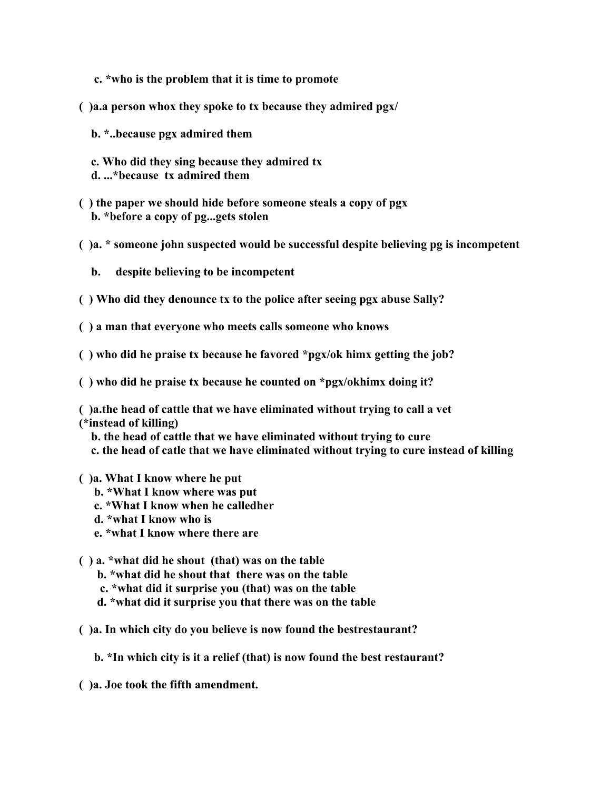- **c. \*who is the problem that it is time to promote**
- **( )a.a person whox they spoke to tx because they admired pgx/**
	- **b. \*..because pgx admired them**
	- **c. Who did they sing because they admired tx d. ...\*because tx admired them**
- **( ) the paper we should hide before someone steals a copy of pgx b. \*before a copy of pg...gets stolen**
- **( )a. \* someone john suspected would be successful despite believing pg is incompetent** 
	- **b. despite believing to be incompetent**
- **( ) Who did they denounce tx to the police after seeing pgx abuse Sally?**
- **( ) a man that everyone who meets calls someone who knows**
- **( ) who did he praise tx because he favored \*pgx/ok himx getting the job?**
- **( ) who did he praise tx because he counted on \*pgx/okhimx doing it?**

**( )a.the head of cattle that we have eliminated without trying to call a vet (\*instead of killing)**

 **b. the head of cattle that we have eliminated without trying to cure c. the head of catle that we have eliminated without trying to cure instead of killing**

- **( )a. What I know where he put**
	- **b. \*What I know where was put**
	- **c. \*What I know when he calledher**
	- **d. \*what I know who is**
	- **e. \*what I know where there are**
- **( ) a. \*what did he shout (that) was on the table**
	- **b. \*what did he shout that there was on the table**
	- **c. \*what did it surprise you (that) was on the table**
	- **d. \*what did it surprise you that there was on the table**
- **( )a. In which city do you believe is now found the bestrestaurant?**
	- **b. \*In which city is it a relief (that) is now found the best restaurant?**
- **( )a. Joe took the fifth amendment.**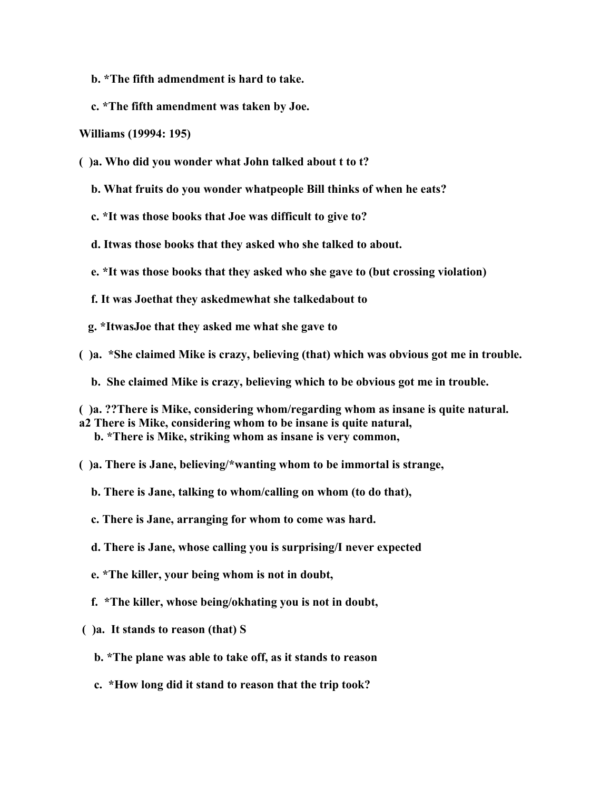- **b. \*The fifth admendment is hard to take.**
- **c. \*The fifth amendment was taken by Joe.**

#### **Williams (19994: 195)**

- **( )a. Who did you wonder what John talked about t to t?**
	- **b. What fruits do you wonder whatpeople Bill thinks of when he eats?**
	- **c. \*It was those books that Joe was difficult to give to?**
	- **d. Itwas those books that they asked who she talked to about.**
	- **e. \*It was those books that they asked who she gave to (but crossing violation)**
	- **f. It was Joethat they askedmewhat she talkedabout to**
	- **g. \*ItwasJoe that they asked me what she gave to**
- **( )a. \*She claimed Mike is crazy, believing (that) which was obvious got me in trouble.**
	- **b. She claimed Mike is crazy, believing which to be obvious got me in trouble.**

**( )a. ??There is Mike, considering whom/regarding whom as insane is quite natural. a2 There is Mike, considering whom to be insane is quite natural, b. \*There is Mike, striking whom as insane is very common,**

**( )a. There is Jane, believing/\*wanting whom to be immortal is strange,**

 **b. There is Jane, talking to whom/calling on whom (to do that),** 

- **c. There is Jane, arranging for whom to come was hard.**
- **d. There is Jane, whose calling you is surprising/I never expected**
- **e. \*The killer, your being whom is not in doubt,**
- **f. \*The killer, whose being/okhating you is not in doubt,**
- **( )a. It stands to reason (that) S**
	- **b. \*The plane was able to take off, as it stands to reason**
	- **c. \*How long did it stand to reason that the trip took?**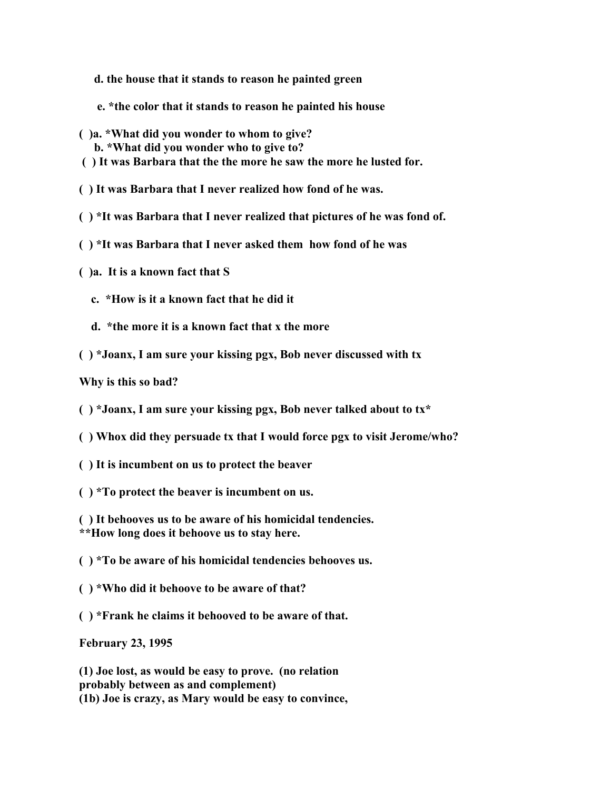- **d. the house that it stands to reason he painted green**
- **e. \*the color that it stands to reason he painted his house**
- **( )a. \*What did you wonder to whom to give? b. \*What did you wonder who to give to?**
- **( ) It was Barbara that the the more he saw the more he lusted for.**

**( ) It was Barbara that I never realized how fond of he was.**

- **( ) \*It was Barbara that I never realized that pictures of he was fond of.**
- **( ) \*It was Barbara that I never asked them how fond of he was**
- **( )a. It is a known fact that S**
	- **c. \*How is it a known fact that he did it**
	- **d. \*the more it is a known fact that x the more**
- **( ) \*Joanx, I am sure your kissing pgx, Bob never discussed with tx**

**Why is this so bad?** 

- **( ) \*Joanx, I am sure your kissing pgx, Bob never talked about to tx\***
- **( ) Whox did they persuade tx that I would force pgx to visit Jerome/who?**
- **( ) It is incumbent on us to protect the beaver**
- **( ) \*To protect the beaver is incumbent on us.**
- **( ) It behooves us to be aware of his homicidal tendencies. \*\*How long does it behoove us to stay here.**
- **( ) \*To be aware of his homicidal tendencies behooves us.**
- **( ) \*Who did it behoove to be aware of that?**
- **( ) \*Frank he claims it behooved to be aware of that.**

**February 23, 1995**

**(1) Joe lost, as would be easy to prove. (no relation probably between as and complement) (1b) Joe is crazy, as Mary would be easy to convince,**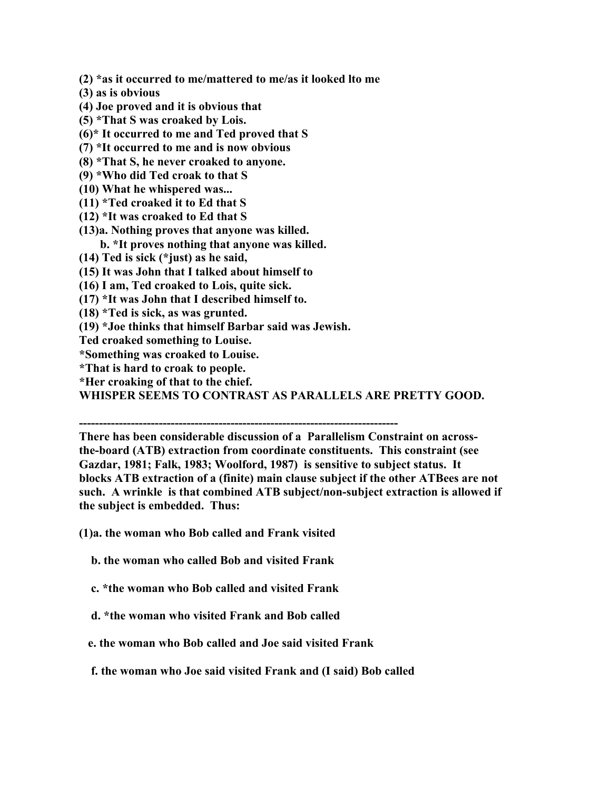**(2) \*as it occurred to me/mattered to me/as it looked lto me**

- **(3) as is obvious**
- **(4) Joe proved and it is obvious that**
- **(5) \*That S was croaked by Lois.**
- **(6)\* It occurred to me and Ted proved that S**
- **(7) \*It occurred to me and is now obvious**
- **(8) \*That S, he never croaked to anyone.**
- **(9) \*Who did Ted croak to that S**
- **(10) What he whispered was...**
- **(11) \*Ted croaked it to Ed that S**
- **(12) \*It was croaked to Ed that S**
- **(13)a. Nothing proves that anyone was killed. b. \*It proves nothing that anyone was killed.**
- **(14) Ted is sick (\*just) as he said,**
- **(15) It was John that I talked about himself to**
- **(16) I am, Ted croaked to Lois, quite sick.**
- **(17) \*It was John that I described himself to.**
- **(18) \*Ted is sick, as was grunted.**
- **(19) \*Joe thinks that himself Barbar said was Jewish.**
- **Ted croaked something to Louise.**
- **\*Something was croaked to Louise.**
- **\*That is hard to croak to people.**
- **\*Her croaking of that to the chief.**

**WHISPER SEEMS TO CONTRAST AS PARALLELS ARE PRETTY GOOD.**

**--------------------------------------------------------------------------------**

**There has been considerable discussion of a Parallelism Constraint on acrossthe-board (ATB) extraction from coordinate constituents. This constraint (see Gazdar, 1981; Falk, 1983; Woolford, 1987) is sensitive to subject status. It blocks ATB extraction of a (finite) main clause subject if the other ATBees are not such. A wrinkle is that combined ATB subject/non-subject extraction is allowed if the subject is embedded. Thus:**

- **(1)a. the woman who Bob called and Frank visited**
	- **b. the woman who called Bob and visited Frank**
	- **c. \*the woman who Bob called and visited Frank**
	- **d. \*the woman who visited Frank and Bob called**
	- **e. the woman who Bob called and Joe said visited Frank**
	- **f. the woman who Joe said visited Frank and (I said) Bob called**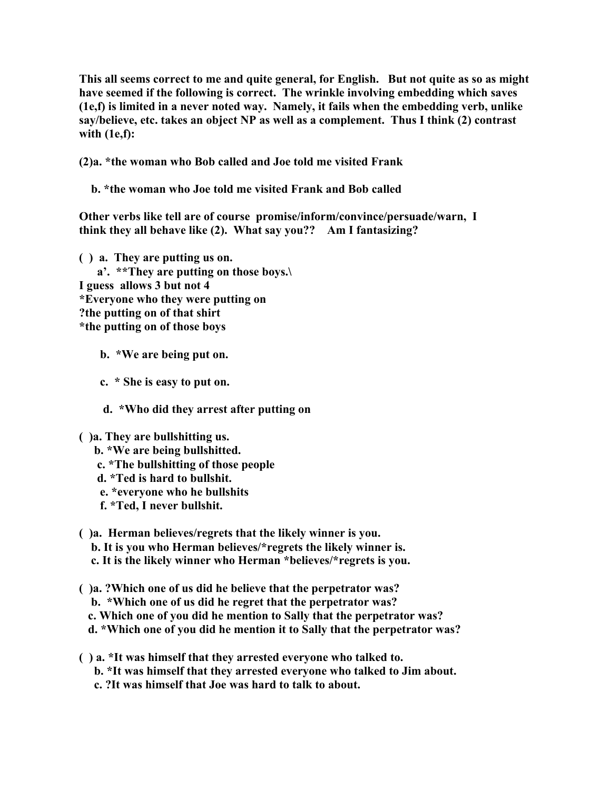**This all seems correct to me and quite general, for English. But not quite as so as might have seemed if the following is correct. The wrinkle involving embedding which saves (1e,f) is limited in a never noted way. Namely, it fails when the embedding verb, unlike say/believe, etc. takes an object NP as well as a complement. Thus I think (2) contrast with (1e,f):**

**(2)a. \*the woman who Bob called and Joe told me visited Frank**

 **b. \*the woman who Joe told me visited Frank and Bob called**

**Other verbs like tell are of course promise/inform/convince/persuade/warn, I think they all behave like (2). What say you?? Am I fantasizing?**

**( ) a. They are putting us on. a'. \*\*They are putting on those boys.\ I guess allows 3 but not 4 \*Everyone who they were putting on ?the putting on of that shirt \*the putting on of those boys**

 **b. \*We are being put on.**

 **c. \* She is easy to put on.**

 **d. \*Who did they arrest after putting on**

#### **( )a. They are bullshitting us.**

- **b. \*We are being bullshitted.**
- **c. \*The bullshitting of those people**
- **d. \*Ted is hard to bullshit.**
- **e. \*everyone who he bullshits**
- **f. \*Ted, I never bullshit.**

# **( )a. Herman believes/regrets that the likely winner is you.**

- **b. It is you who Herman believes/\*regrets the likely winner is.**
- **c. It is the likely winner who Herman \*believes/\*regrets is you.**
- **( )a. ?Which one of us did he believe that the perpetrator was? b. \*Which one of us did he regret that the perpetrator was? c. Which one of you did he mention to Sally that the perpetrator was? d. \*Which one of you did he mention it to Sally that the perpetrator was?**
- **( ) a. \*It was himself that they arrested everyone who talked to. b. \*It was himself that they arrested everyone who talked to Jim about. c. ?It was himself that Joe was hard to talk to about.**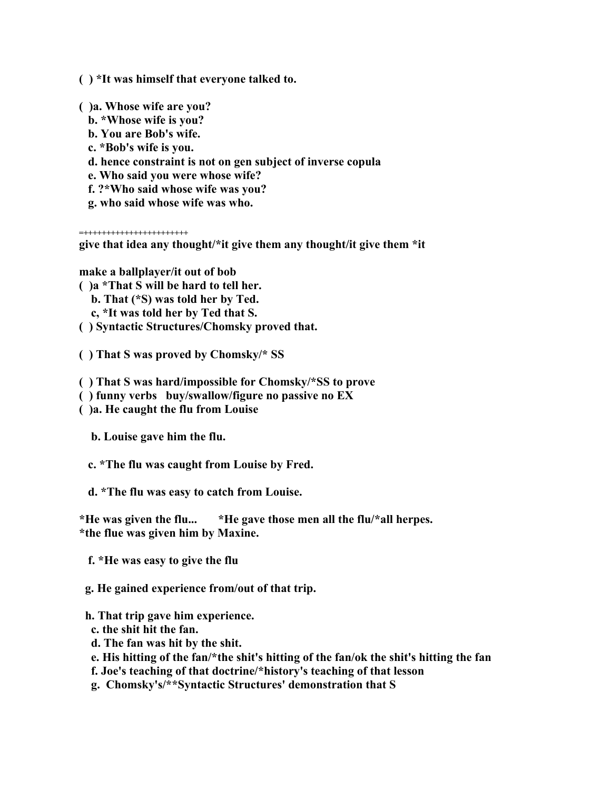**( ) \*It was himself that everyone talked to.**

**( )a. Whose wife are you?**

- **b. \*Whose wife is you?**
- **b. You are Bob's wife.**
- **c. \*Bob's wife is you.**
- **d. hence constraint is not on gen subject of inverse copula**
- **e. Who said you were whose wife?**
- **f. ?\*Who said whose wife was you?**
- **g. who said whose wife was who.**

**=+++++++++++++++++++++++**

**give that idea any thought/\*it give them any thought/it give them \*it**

**make a ballplayer/it out of bob**

- **( )a \*That S will be hard to tell her.**
	- **b. That (\*S) was told her by Ted.**
	- **c, \*It was told her by Ted that S.**
- **( ) Syntactic Structures/Chomsky proved that.**
- **( ) That S was proved by Chomsky/\* SS**
- **( ) That S was hard/impossible for Chomsky/\*SS to prove**
- **( ) funny verbs buy/swallow/figure no passive no EX**
- **( )a. He caught the flu from Louise**

 **b. Louise gave him the flu.**

- **c. \*The flu was caught from Louise by Fred.**
- **d. \*The flu was easy to catch from Louise.**

**\*He was given the flu... \*He gave those men all the flu/\*all herpes. \*the flue was given him by Maxine.**

- **f. \*He was easy to give the flu**
- **g. He gained experience from/out of that trip.**
- **h. That trip gave him experience.**
- **c. the shit hit the fan.**
- **d. The fan was hit by the shit.**
- **e. His hitting of the fan/\*the shit's hitting of the fan/ok the shit's hitting the fan**
- **f. Joe's teaching of that doctrine/\*history's teaching of that lesson**
- **g. Chomsky's/\*\*Syntactic Structures' demonstration that S**